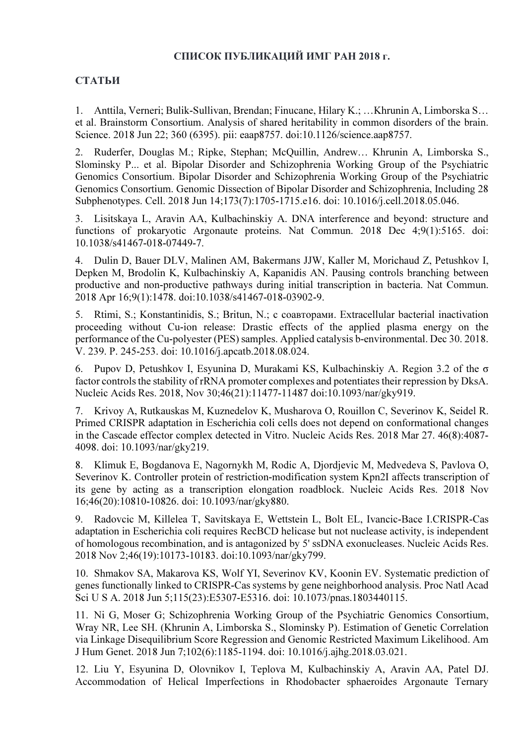## СПИСОК ПУБЛИКАЦИЙ ИМГ РАН 2018 г.

## СТАТЬИ

1. Anttila, Verneri; Bulik-Sullivan, Brendan; Finucane, Hilary K.; …Khrunin A, Limborska S… et al. Brainstorm Consortium. Analysis of shared heritability in common disorders of the brain. Science. 2018 Jun 22; 360 (6395). pii: eaap8757. doi:10.1126/science.aap8757.

2. Ruderfer, Douglas M.; Ripke, Stephan; McQuillin, Andrew… Khrunin A, Limborska S., Slominsky P... et al. Bipolar Disorder and Schizophrenia Working Group of the Psychiatric Genomics Consortium. Bipolar Disorder and Schizophrenia Working Group of the Psychiatric Genomics Consortium. Genomic Dissection of Bipolar Disorder and Schizophrenia, Including 28 Subphenotypes. Cell. 2018 Jun 14;173(7):1705-1715.e16. doi: 10.1016/j.cell.2018.05.046.

3. Lisitskaya L, Aravin AA, Kulbachinskiy A. DNA interference and beyond: structure and functions of prokaryotic Argonaute proteins. Nat Commun. 2018 Dec 4;9(1):5165. doi: 10.1038/s41467-018-07449-7.

4. Dulin D, Bauer DLV, Malinen AM, Bakermans JJW, Kaller M, Morichaud Z, Petushkov I, Depken M, Brodolin K, Kulbachinskiy A, Kapanidis AN. Pausing controls branching between productive and non-productive pathways during initial transcription in bacteria. Nat Commun. 2018 Apr 16;9(1):1478. doi:10.1038/s41467-018-03902-9.

5. Rtimi, S.; Konstantinidis, S.; Britun, N.; с соавторами. Extracellular bacterial inactivation proceeding without Cu-ion release: Drastic effects of the applied plasma energy on the performance of the Cu-polyester (PES) samples. Applied catalysis b-environmental. Dec 30. 2018. V. 239. P. 245-253. doi: 10.1016/j.apcatb.2018.08.024.

6. Pupov D, Petushkov I, Esyunina D, Murakami KS, Kulbachinskiy A. Region 3.2 of the σ factor controls the stability of rRNA promoter complexes and potentiates their repression by DksA. Nucleic Acids Res. 2018, Nov 30;46(21):11477-11487 doi:10.1093/nar/gky919.

7. Krivoy A, Rutkauskas M, Kuznedelov K, Musharova O, Rouillon C, Severinov K, Seidel R. Primed CRISPR adaptation in Escherichia coli cells does not depend on conformational changes in the Cascade effector complex detected in Vitro. Nucleic Acids Res. 2018 Mar 27. 46(8):4087- 4098. doi: 10.1093/nar/gky219.

8. Klimuk E, Bogdanova E, Nagornykh M, Rodic A, Djordjevic M, Medvedeva S, Pavlova O, Severinov K. Controller protein of restriction-modification system Kpn2I affects transcription of its gene by acting as a transcription elongation roadblock. Nucleic Acids Res. 2018 Nov 16;46(20):10810-10826. doi: 10.1093/nar/gky880.

9. Radovcic M, Killelea T, Savitskaya E, Wettstein L, Bolt EL, Ivancic-Bace I.CRISPR-Cas adaptation in Escherichia coli requires RecBCD helicase but not nuclease activity, is independent of homologous recombination, and is antagonized by 5' ssDNA exonucleases. Nucleic Acids Res. 2018 Nov 2;46(19):10173-10183. doi:10.1093/nar/gky799.

10. Shmakov SA, Makarova KS, Wolf YI, Severinov KV, Koonin EV. Systematic prediction of genes functionally linked to CRISPR-Cas systems by gene neighborhood analysis. Proc Natl Acad Sci U S A. 2018 Jun 5;115(23):E5307-E5316. doi: 10.1073/pnas.1803440115.

11. Ni G, Moser G; Schizophrenia Working Group of the Psychiatric Genomics Consortium, Wray NR, Lee SH. (Khrunin A, Limborska S., Slominsky P). Estimation of Genetic Correlation via Linkage Disequilibrium Score Regression and Genomic Restricted Maximum Likelihood. Am J Hum Genet. 2018 Jun 7;102(6):1185-1194. doi: 10.1016/j.ajhg.2018.03.021.

12. Liu Y, Esyunina D, Olovnikov I, Teplova M, Kulbachinskiy A, Aravin AA, Patel DJ. Accommodation of Helical Imperfections in Rhodobacter sphaeroides Argonaute Ternary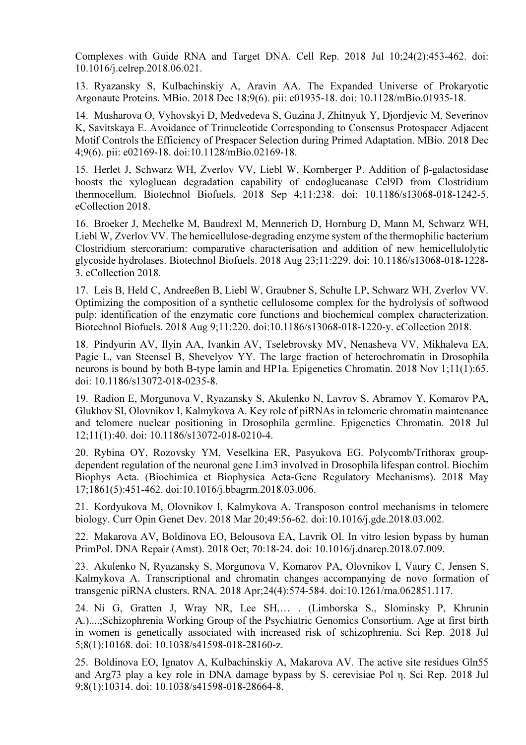Complexes with Guide RNA and Target DNA. Cell Rep. 2018 Jul 10;24(2):453-462. doi: 10.1016/j.celrep.2018.06.021.

13. Ryazansky S, Kulbachinskiy A, Aravin AA. The Expanded Universe of Prokaryotic Argonaute Proteins. MBio. 2018 Dec 18;9(6). pii: e01935-18. doi: 10.1128/mBio.01935-18.

14. Musharova O, Vyhovskyi D, Medvedeva S, Guzina J, Zhitnyuk Y, Djordjevic M, Severinov K, Savitskaya E. Avoidance of Trinucleotide Corresponding to Consensus Protospacer Adjacent Motif Controls the Efficiency of Prespacer Selection during Primed Adaptation. MBio. 2018 Dec 4;9(6). pii: e02169-18. doi:10.1128/mBio.02169-18.

15. Herlet J, Schwarz WH, Zverlov VV, Liebl W, Kornberger P. Addition of β-galactosidase boosts the xyloglucan degradation capability of endoglucanase Cel9D from Clostridium thermocellum. Biotechnol Biofuels. 2018 Sep 4;11:238. doi: 10.1186/s13068-018-1242-5. eCollection 2018.

16. Broeker J, Mechelke M, Baudrexl M, Mennerich D, Hornburg D, Mann M, Schwarz WH, Liebl W, Zverlov VV. The hemicellulose-degrading enzyme system of the thermophilic bacterium Clostridium stercorarium: comparative characterisation and addition of new hemicellulolytic glycoside hydrolases. Biotechnol Biofuels. 2018 Aug 23;11:229. doi: 10.1186/s13068-018-1228- 3. eCollection 2018.

17. Leis B, Held C, Andreeßen B, Liebl W, Graubner S, Schulte LP, Schwarz WH, Zverlov VV. Optimizing the composition of a synthetic cellulosome complex for the hydrolysis of softwood pulp: identification of the enzymatic core functions and biochemical complex characterization. Biotechnol Biofuels. 2018 Aug 9;11:220. doi:10.1186/s13068-018-1220-y. eCollection 2018.

18. Pindyurin AV, Ilyin AA, Ivankin AV, Tselebrovsky MV, Nenasheva VV, Mikhaleva EA, Pagie L, van Steensel B, Shevelyov YY. The large fraction of heterochromatin in Drosophila neurons is bound by both B-type lamin and HP1a. Epigenetics Chromatin. 2018 Nov 1;11(1):65. doi: 10.1186/s13072-018-0235-8.

19. Radion E, Morgunova V, Ryazansky S, Akulenko N, Lavrov S, Abramov Y, Komarov PA, Glukhov SI, Olovnikov I, Kalmykova A. Key role of piRNAs in telomeric chromatin maintenance and telomere nuclear positioning in Drosophila germline. Epigenetics Chromatin. 2018 Jul 12;11(1):40. doi: 10.1186/s13072-018-0210-4.

20. Rybina OY, Rozovsky YM, Veselkina ER, Pasyukova EG. Polycomb/Trithorax groupdependent regulation of the neuronal gene Lim3 involved in Drosophila lifespan control. Biochim Biophys Acta. (Biochimica et Biophysica Acta-Gene Regulatory Mechanisms). 2018 May 17;1861(5):451-462. doi:10.1016/j.bbagrm.2018.03.006.

21. Kordyukova M, Olovnikov I, Kalmykova A. Transposon control mechanisms in telomere biology. Curr Opin Genet Dev. 2018 Mar 20;49:56-62. doi:10.1016/j.gde.2018.03.002.

22. Makarova AV, Boldinova EO, Belousova EA, Lavrik OI. In vitro lesion bypass by human PrimPol. DNA Repair (Amst). 2018 Oct; 70:18-24. doi: 10.1016/j.dnarep.2018.07.009.

23. Akulenko N, Ryazansky S, Morgunova V, Komarov PA, Olovnikov I, Vaury C, Jensen S, Kalmykova A. Transcriptional and chromatin changes accompanying de novo formation of transgenic piRNA clusters. RNA. 2018 Apr;24(4):574-584. doi:10.1261/rna.062851.117.

24. Ni G, Gratten J, Wray NR, Lee SH,… . (Limborska S., Slominsky P, Khrunin A.)....;Schizophrenia Working Group of the Psychiatric Genomics Consortium. Age at first birth in women is genetically associated with increased risk of schizophrenia. Sci Rep. 2018 Jul 5;8(1):10168. doi: 10.1038/s41598-018-28160-z.

25. Boldinova EO, Ignatov A, Kulbachinskiy A, Makarova AV. The active site residues Gln55 and Arg73 play a key role in DNA damage bypass by S. cerevisiae Pol η. Sci Rep. 2018 Jul 9;8(1):10314. doi: 10.1038/s41598-018-28664-8.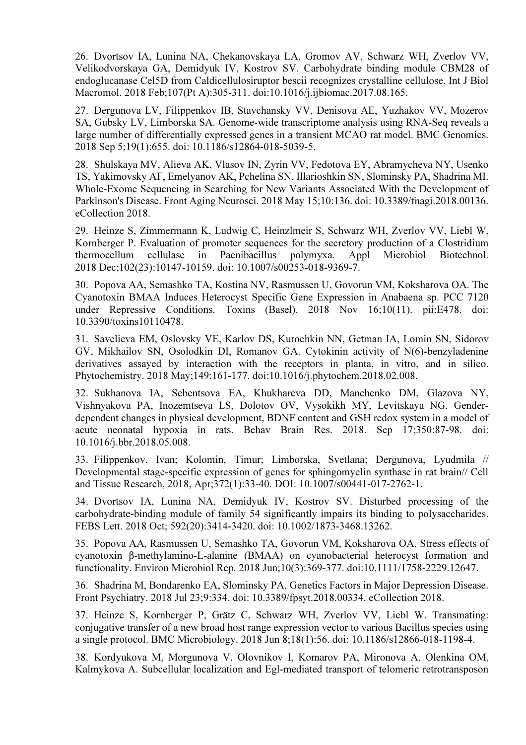26. Dvortsov IA, Lunina NA, Chekanovskaya LA, Gromov AV, Schwarz WH, Zverlov VV, Velikodvorskaya GA, Demidyuk IV, Kostrov SV. Сarbohydrate binding module CBM28 of endoglucanase Cel5D from Caldicellulosiruptor bescii recognizes crystalline cellulose. Int J Biol Macromol. 2018 Feb;107(Pt A):305-311. doi:10.1016/j.ijbiomac.2017.08.165.

27. Dergunova LV, Filippenkov IB, Stavchansky VV, Denisova AE, Yuzhakov VV, Mozerov SA, Gubsky LV, Limborska SA. Genome-wide transcriptome analysis using RNA-Seq reveals a large number of differentially expressed genes in a transient MCAO rat model. BMC Genomics. 2018 Sep 5;19(1):655. doi: 10.1186/s12864-018-5039-5.

28. Shulskaya MV, Alieva AK, Vlasov IN, Zyrin VV, Fedotova EY, Abramycheva NY, Usenko TS, Yakimovsky AF, Emelyanov AK, Pchelina SN, Illarioshkin SN, Slominsky PA, Shadrina MI. Whole-Exome Sequencing in Searching for New Variants Associated With the Development of Parkinson's Disease. Front Aging Neurosci. 2018 May 15;10:136. doi: 10.3389/fnagi.2018.00136. eCollection 2018.

29. Heinze S, Zimmermann K, Ludwig C, Heinzlmeir S, Schwarz WH, Zverlov VV, Liebl W, Kornberger P. Evaluation of promoter sequences for the secretory production of a Clostridium thermocellum cellulase in Paenibacillus polymyxa. Appl Microbiol Biotechnol. 2018 Dec;102(23):10147-10159. doi: 10.1007/s00253-018-9369-7.

30. Popova AA, Semashko TA, Kostina NV, Rasmussen U, Govorun VM, Koksharova OA. The Cyanotoxin BMAA Induces Heterocyst Specific Gene Expression in Anabaena sp. PCC 7120 under Repressive Conditions. Toxins (Basel). 2018 Nov 16;10(11). pii:E478. doi: 10.3390/toxins10110478.

31. Savelieva EM, Oslovsky VE, Karlov DS, Kurochkin NN, Getman IA, Lomin SN, Sidorov GV, Mikhailov SN, Osolodkin DI, Romanov GA. Cytokinin activity of N(6)-benzyladenine derivatives assayed by interaction with the receptors in planta, in vitro, and in silico. Phytochemistry. 2018 May;149:161-177. doi:10.1016/j.phytochem.2018.02.008.

32. Sukhanova IA, Sebentsova EA, Khukhareva DD, Manchenko DM, Glazova NY, Vishnyakova PA, Inozemtseva LS, Dolotov OV, Vysokikh MY, Levitskaya NG. Genderdependent changes in physical development, BDNF content and GSH redox system in a model of acute neonatal hypoxia in rats. Behav Brain Res. 2018. Sep 17;350:87-98. doi: 10.1016/j.bbr.2018.05.008.

33. Filippenkov, Ivan; Kolomin, Timur; Limborska, Svetlana; Dergunova, Lyudmila // Developmental stage-specific expression of genes for sphingomyelin synthase in rat brain// Cell and Tissue Research, 2018, Apr;372(1):33-40. DOI: 10.1007/s00441-017-2762-1.

34. Dvortsov IA, Lunina NA, Demidyuk IV, Kostrov SV. Disturbed processing of the carbohydrate-binding module of family 54 significantly impairs its binding to polysaccharides. FEBS Lett. 2018 Oct; 592(20):3414-3420. doi: 10.1002/1873-3468.13262.

35. Popova AA, Rasmussen U, Semashko TA, Govorun VM, Koksharova OA. Stress effects of cyanotoxin β-methylamino-L-alanine (BMAA) on cyanobacterial heterocyst formation and functionality. Environ Microbiol Rep. 2018 Jun;10(3):369-377. doi:10.1111/1758-2229.12647.

36. Shadrina M, Bondarenko EA, Slominsky PA. Genetics Factors in Major Depression Disease. Front Psychiatry. 2018 Jul 23;9:334. doi: 10.3389/fpsyt.2018.00334. eCollection 2018.

37. Heinze S, Kornberger P, Grätz C, Schwarz WH, Zverlov VV, Liebl W. Transmating: conjugative transfer of a new broad host range expression vector to various Bacillus species using a single protocol. BMC Microbiology. 2018 Jun 8;18(1):56. doi: 10.1186/s12866-018-1198-4.

38. Kordyukova M, Morgunova V, Olovnikov I, Komarov PA, Mironova A, Olenkina OM, Kalmykova A. Subcellular localization and Egl-mediated transport of telomeric retrotransposon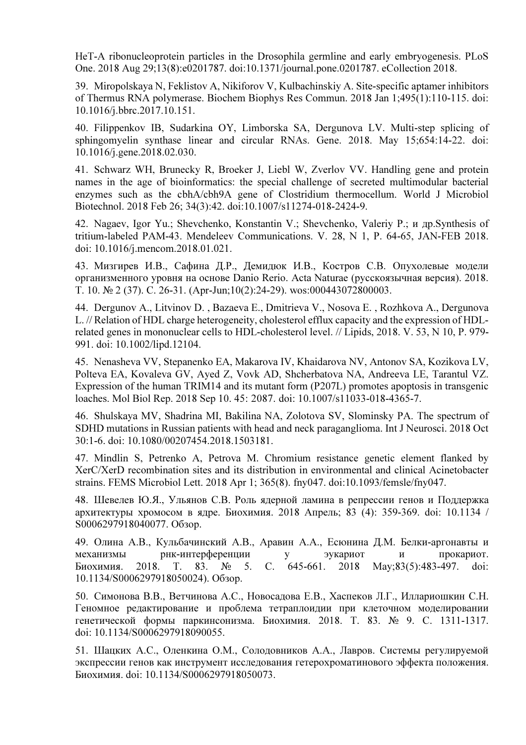HeT-A ribonucleoprotein particles in the Drosophila germline and early embryogenesis. PLoS One. 2018 Aug 29;13(8):e0201787. doi:10.1371/journal.pone.0201787. eCollection 2018.

39. Miropolskaya N, Feklistov A, Nikiforov V, Kulbachinskiy A. Site-specific aptamer inhibitors of Thermus RNA polymerase. Biochem Biophys Res Commun. 2018 Jan 1;495(1):110-115. doi: 10.1016/j.bbrc.2017.10.151.

40. Filippenkov IB, Sudarkina OY, Limborska SA, Dergunova LV. Multi-step splicing of sphingomyelin synthase linear and circular RNAs. Gene. 2018. May 15;654:14-22. doi: 10.1016/j.gene.2018.02.030.

41. Schwarz WH, Brunecky R, Broeker J, Liebl W, Zverlov VV. Handling gene and protein names in the age of bioinformatics: the special challenge of secreted multimodular bacterial enzymes such as the cbhA/cbh9A gene of Clostridium thermocellum. World J Microbiol Biotechnol. 2018 Feb 26; 34(3):42. doi:10.1007/s11274-018-2424-9.

42. Nagaev, Igor Yu.; Shevchenko, Konstantin V.; Shevchenko, Valeriy P.; и др.Synthesis of tritium-labeled PAM-43. Mendeleev Communications. V. 28, N 1, P. 64-65, JAN-FEB 2018. doi: 10.1016/j.mencom.2018.01.021.

43. Мизгирев И.В., Сафина Д.Р., Демидюк И.В., Костров С.В. Опухолевые модели организменного уровня на основе Danio Rerio. Acta Naturae (русскоязычная версия). 2018. Т. 10. № 2 (37). С. 26-31. (Apr-Jun;10(2):24-29). wos:000443072800003.

44. Dergunov A., Litvinov D. , Bazaeva E., Dmitrieva V., Nosova E. , Rozhkova A., Dergunova L. // Relation of HDL charge heterogeneity, cholesterol efflux capacity and the expression of HDLrelated genes in mononuclear cells to HDL-cholesterol level. // Lipids, 2018. V. 53, N 10, P. 979- 991. doi: 10.1002/lipd.12104.

45. Nenasheva VV, Stepanenko EA, Makarova IV, Khaidarova NV, Antonov SA, Kozikova LV, Polteva EA, Kovaleva GV, Ayed Z, Vovk AD, Shcherbatova NA, Andreeva LE, Tarantul VZ. Expression of the human TRIM14 and its mutant form (P207L) promotes apoptosis in transgenic loaches. Mol Biol Rep. 2018 Sep 10. 45: 2087. doi: 10.1007/s11033-018-4365-7.

46. Shulskaya MV, Shadrina MI, Bakilina NA, Zolotova SV, Slominsky PA. The spectrum of SDHD mutations in Russian patients with head and neck paraganglioma. Int J Neurosci. 2018 Oct 30:1-6. doi: 10.1080/00207454.2018.1503181.

47. Mindlin S, Petrenko A, Petrova M. Chromium resistance genetic element flanked by XerC/XerD recombination sites and its distribution in environmental and clinical Acinetobacter strains. FEMS Microbiol Lett. 2018 Apr 1; 365(8). fny047. doi:10.1093/femsle/fny047.

48. Шевелев Ю.Я., Ульянов С.В. Роль ядерной ламина в репрессии генов и Поддержка архитектуры хромосом в ядре. Биохимия. 2018 Апрель; 83 (4): 359-369. doi: 10.1134 / S0006297918040077. Обзор.

49. Олина А.В., Кульбачинский А.В., Аравин А.А., Есюнина Д.М. Белки-аргонавты и механизмы рнк-интерференции у эукариот и прокариот. Биохимия. 2018. Т. 83. № 5. С. 645-661. 2018 May;83(5):483-497. doi: 10.1134/S0006297918050024). Обзор.

50. Симонова В.В., Ветчинова А.С., Новосадова Е.В., Хаспеков Л.Г., Иллариошкин С.Н. Геномное редактирование и проблема тетраплоидии при клеточном моделировании генетической формы паркинсонизма. Биохимия. 2018. Т. 83. № 9. С. 1311-1317. doi: 10.1134/S0006297918090055.

51. Шацких А.С., Оленкина О.М., Солодовников А.А., Лавров. Системы регулируемой экспрессии генов как инструмент исследования гетерохроматинового эффекта положения. Биохимия. doi: 10.1134/S0006297918050073.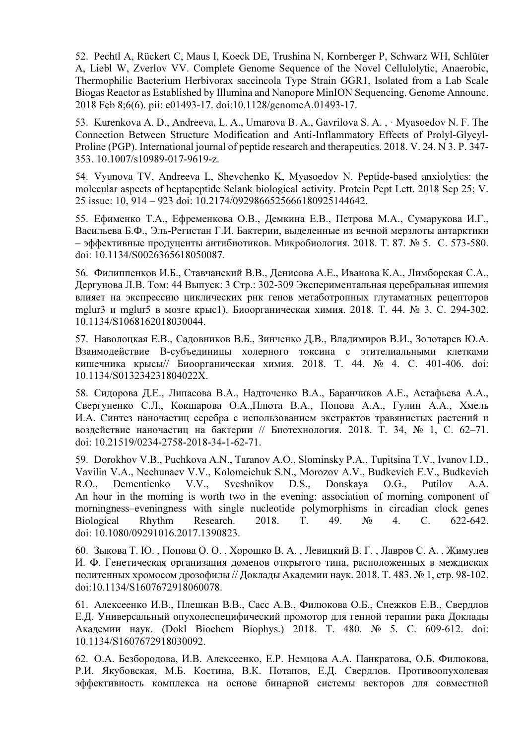52. Pechtl A, Rückert C, Maus I, Koeck DE, Trushina N, Kornberger P, Schwarz WH, Schlüter A, Liebl W, Zverlov VV. Complete Genome Sequence of the Novel Cellulolytic, Anaerobic, Thermophilic Bacterium Herbivorax saccincola Type Strain GGR1, Isolated from a Lab Scale Biogas Reactor as Established by Illumina and Nanopore MinION Sequencing. Genome Announc. 2018 Feb 8;6(6). pii: e01493-17. doi:10.1128/genomeA.01493-17.

53. Kurenkova A. D., Andreeva, L. A., Umarova B. A., Gavrilova S. A. , · Myasoedov N. F. The Connection Between Structure Modification and Anti-Inflammatory Effects of Prolyl-Glycyl-Proline (PGP). International journal of peptide research and therapeutics. 2018. V. 24. N 3. P. 347- 353. 10.1007/s10989-017-9619-z.

54. Vyunova TV, Andreeva L, Shevchenko K, Myasoedov N. Peptide-based anxiolytics: the molecular aspects of heptapeptide Selank biological activity. Protein Pept Lett. 2018 Sep 25; V. 25 issue: 10, 914 – 923 doi: 10.2174/0929866525666180925144642.

55. Ефименко Т.А., Ефременкова О.В., Демкина Е.В., Петрова М.А., Сумарукова И.Г., Васильева Б.Ф., Эль-Регистан Г.И. Бактерии, выделенные из вечной мерзлоты антарктики – эффективные продуценты антибиотиков. Микробиология. 2018. Т. 87. № 5. С. 573-580. doi: 10.1134/S0026365618050087.

56. Филиппенков И.Б., Ставчанский В.В., Денисова А.Е., Иванова К.А., Лимборская С.А., Дергунова Л.В. Том: 44 Выпуск: 3 Стр.: 302-309 Экспериментальная церебральная ишемия влияет на экспрессию циклических рнк генов метаботропных глутаматных рецепторов mglur3 и mglur5 в мозге крыс1). Биоорганическая химия. 2018. Т. 44. № 3. С. 294-302. 10.1134/S1068162018030044.

57. Наволоцкая Е.В., Садовников В.Б., Зинченко Д.В., Владимиров В.И., Золотарев Ю.А. Взаимодействие В-субъединицы холерного токсина с этителиальными клетками кишечника крысы// Биоорганическая химия. 2018. Т. 44. № 4. С. 401-406. doi: 10.1134/S013234231804022X.

58. Сидорова Д.Е., Липасова В.А., Надточенко В.А., Баранчиков А.Е., Астафьева А.А., Свергуненко С.Л., Кокшарова О.А.,Плюта В.А., Попова А.А., Гулин А.А., Хмель И.А. Синтез наночастиц серебра с использованием экстрактов травянистых растений и воздействие наночастиц на бактерии // Биотехнология. 2018. Т. 34, № 1, С. 62–71. doi: 10.21519/0234-2758-2018-34-1-62-71.

59. Dorokhov V.B., Puchkova A.N., Taranov A.O., Slominsky P.A., Tupitsina T.V., Ivanov I.D., Vavilin V.A., Nechunaev V.V., Kolomeichuk S.N., Morozov A.V., Budkevich E.V., Budkevich R.O., Dementienko V.V., Sveshnikov D.S., Donskaya O.G., Putilov A.A. An hour in the morning is worth two in the evening: association of morning component of morningness–eveningness with single nucleotide polymorphisms in circadian clock genes Biological Rhythm Research. 2018. Т. 49. № 4. С. 622-642. doi: 10.1080/09291016.2017.1390823.

60. Зыкова Т. Ю. , Попова О. О. , Хорошко В. А. , Левицкий В. Г. , Лавров С. А. , Жимулев И. Ф. Генетическая организация доменов открытого типа, расположенных в междисках политенных хромосом дрозофилы // Доклады Академии наук. 2018. T. 483. № 1, стр. 98-102. doi:10.1134/S1607672918060078.

61. Алексеенко И.В., Плешкан В.В., Сасс А.В., Филюкова О.Б., Снежков Е.В., Свердлов Е.Д. Универсальный опухолеспецифический промотор для генной терапии рака Доклады Академии наук. (Dokl Biochem Biophys.) 2018. Т. 480. № 5. С. 609-612. doi: 10.1134/S1607672918030092.

62. O.A. Безбородова, И.В. Алексеенко, Е.Р. Немцова A.A. Панкратова, О.Б. Филюкова, Р.И. Якубовская, М.Б. Костина, В.К. Потапов, Е.Д. Свердлов. Противоопухолевая эффективность комплекса на основе бинарной системы векторов для совместной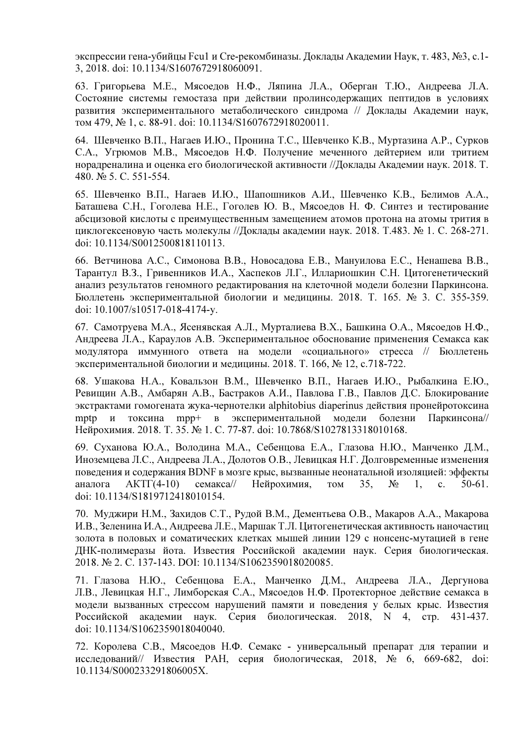экспрессии гена-убийцы Fcu1 и Cre-рекомбиназы. Доклады Академии Наук, т. 483, №3, с.1- 3, 2018. doi: 10.1134/S1607672918060091.

63. Григорьева М.Е., Мясоедов Н.Ф., Ляпина Л.А., Оберган Т.Ю., Андреева Л.А. Состояние системы гемостаза при действии пролинсодержащих пептидов в условиях развития экспериментального метаболического синдрома // Доклады Академии наук, том 479, № 1, с. 88-91. doi: 10.1134/S1607672918020011.

64. Шевченко В.П., Нагаев И.Ю., Пронина Т.С., Шевченко К.В., Муртазина А.Р., Сурков С.А., Угрюмов М.В., Мясоедов Н.Ф. Получение меченного дейтерием или тритием норадреналина и оценка его биологической активности //Доклады Академии наук. 2018. Т. 480. № 5. С. 551-554.

65. Шевченко В.П., Нагаев И.Ю., Шапошников А.И., Шевченко К.В., Белимов А.А., Баташева С.Н., Гоголева Н.Е., Гоголев Ю. В., Мясоедов Н. Ф. Синтез и тестирование абсцизовой кислоты с преимущественным замещением атомов протона на атомы трития в циклогексеновую часть молекулы //Доклады академии наук. 2018. Т.483. № 1. С. 268-271. doi: 10.1134/S0012500818110113.

66. Ветчинова А.С., Симонова В.В., Новосадова Е.В., Мануилова Е.С., Ненашева В.В., Тарантул В.З., Гривенников И.А., Хаспеков Л.Г., Иллариошкин С.Н. Цитогенетический анализ результатов геномного редактирования на клеточной модели болезни Паркинсона. Бюллетень экспериментальной биологии и медицины. 2018. Т. 165. № 3. С. 355-359. doi: 10.1007/s10517-018-4174-y.

67. Самотруева М.А., Ясенявская А.Л., Мурталиева В.Х., Башкина О.А., Мясоедов Н.Ф., Андреева Л.А., Караулов А.В. Экспериментальное обоснование применения Семакса как модулятора иммунного ответа на модели «социального» стресса // Бюллетень экспериментальной биологии и медицины. 2018. Т. 166, № 12, с.718-722.

68. Ушакова Н.А., Ковальзон В.М., Шевченко В.П., Нагаев И.Ю., Рыбалкина Е.Ю., Ревищин А.В., Амбарян А.В., Бастраков А.И., Павлова Г.В., Павлов Д.С. Блокирование экстрактами гомогената жука-чернотелки alphitobius diaperinus действия пронейротоксина mptp и токсина mpp+ в экспериментальной модели болезни Паркинсона// Нейрохимия. 2018. Т. 35. № 1. С. 77-87. doi: 10.7868/S1027813318010168.

69. Суханова Ю.А., Володина М.А., Себенцова Е.А., Глазова Н.Ю., Манченко Д.М., Иноземцева Л.С., Андреева Л.А., Долотов О.В., Левицкая Н.Г. Долговременные изменения поведения и содержания BDNF в мозге крыс, вызванные неонатальной изоляцией: эффекты аналога АКТГ(4-10) семакса// Нейрохимия, том 35, № 1, с. 50-61. doi: 10.1134/S1819712418010154.

70. Муджири Н.М., Захидов С.Т., Рудой В.М., Дементьева О.В., Макаров А.А., Макарова И.В., Зеленина И.А., Андреева Л.Е., Маршак Т.Л. Цитогенетическая активность наночастиц золота в половых и соматических клетках мышей линии 129 с нонсенс-мутацией в гене ДНК-полимеразы йота. Известия Российской академии наук. Серия биологическая. 2018. № 2. С. 137-143. DOI: 10.1134/S1062359018020085.

71. Глазова Н.Ю., Себенцова Е.А., Манченко Д.М., Андреева Л.А., Дергунова Л.В., Левицкая Н.Г., Лимборская С.А., Мясоедов Н.Ф. Протекторное действие семакса в модели вызванных стрессом нарушений памяти и поведения у белых крыс. Известия Российской академии наук. Серия биологическая. 2018, N 4, стр. 431-437. doi: 10.1134/S1062359018040040.

72. Королева С.В., Мясоедов Н.Ф. Семакс - универсальный препарат для терапии и исследований// Известия РАН, серия биологическая, 2018, № 6, 669-682, doi: 10.1134/S000233291806005X.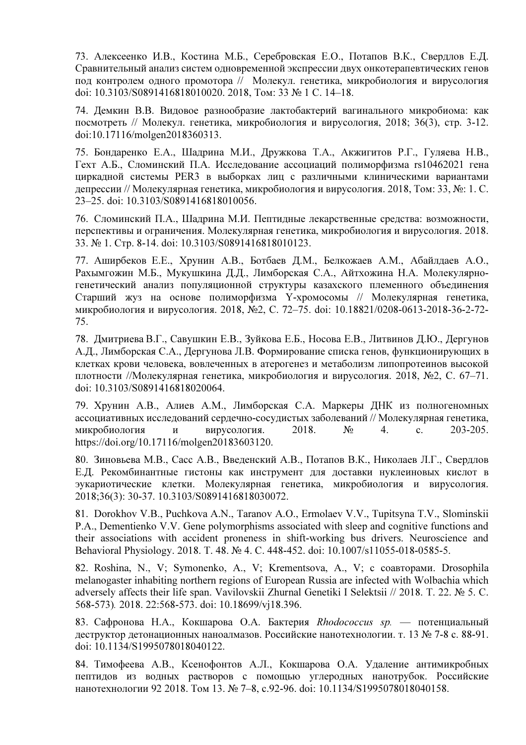73. Алексеенко И.В., Костина М.Б., Серебровская Е.О., Потапов В.К., Свердлов Е.Д. Сравнительный анализ систем одновременной экспрессии двух онкотерапевтических генов под контролем одного промотора // Молекул. генетика, микробиология и вирусология doi: 10.3103/S0891416818010020. 2018, Том: 33 № 1 С. 14–18.

74. Демкин В.В. Видовое разнообразие лактобактерий вагинального микробиома: как посмотреть // Молекул. генетика, микробиология и вирусология, 2018; 36(3), стр. 3-12. doi:10.17116/molgen2018360313.

75. Бондаренко Е.А., Шадрина М.И., Дружкова Т.А., Акжигитов Р.Г., Гуляева Н.В., Гехт А.Б., Сломинский П.А. Исследование ассоциаций полиморфизма rs10462021 гена циркадной системы PER3 в выборках лиц с различными клиническими вариантами депрессии // Молекулярная генетика, микробиология и вирусология. 2018, Том: 33, №: 1. С. 23–25. doi: 10.3103/S0891416818010056.

76. Сломинский П.А., Шадрина М.И. Пептидные лекарственные средства: возможности, перспективы и ограничения. Молекулярная генетика, микробиология и вирусология. 2018. 33. № 1. Стр. 8-14. doi: 10.3103/S0891416818010123.

77. Аширбеков Е.Е., Хрунин А.В., Ботбаев Д.М., Белкожаев А.М., Абайлдаев А.О., Рахымгожин М.Б., Мукушкина Д.Д., Лимборская С.А., Айтхожина Н.А. Молекулярногенетический анализ популяционной структуры казахского племенного объединения Старший жуз на основе полиморфизма Y-хромосомы // Молекулярная генетика, микробиология и вирусология. 2018, №2, С. 72–75. doi: 10.18821/0208-0613-2018-36-2-72- 75.

78. Дмитриева В.Г., Савушкин Е.В., Зуйкова Е.Б., Носова Е.В., Литвинов Д.Ю., Дергунов А.Д., Лимборская C.А., Дергунова Л.В. Формирование списка генов, функционирующих в клетках крови человека, вовлеченных в атерогенез и метаболизм липопротеинов высокой плотности //Молекулярная генетика, микробиология и вирусология. 2018, №2, С. 67–71. doi: 10.3103/S0891416818020064.

79. Хрунин А.В., Алиев А.М., Лимборская С.А. Маркеры ДНК из полногеномных ассоциативных исследований сердечно-сосудистых заболеваний // Молекулярная генетика, микробиология и вирусология. 2018. № 4. с. 203-205. https://doi.org/10.17116/molgen20183603120.

80. Зиновьева М.В., Сасс А.В., Введенский А.В., Потапов В.К., Николаев Л.Г., Свердлов Е.Д. Рекомбинантные гистоны как инструмент для доставки нуклеиновых кислот в эукариотические клетки. Молекулярная генетика, микробиология и вирусология. 2018;36(3): 30-37. 10.3103/S0891416818030072.

81. Dorokhov V.B., Puchkova A.N., Taranov A.O., Ermolaev V.V., Tupitsyna T.V., Slominskii P.A., Dementienko V.V. Gene polymorphisms associated with sleep and cognitive functions and their associations with accident proneness in shift-working bus drivers. Neuroscience and Behavioral Physiology. 2018. Т. 48. № 4. С. 448-452. doi: 10.1007/s11055-018-0585-5.

82. Roshina, N., V; Symonenko, A., V; Krementsova, A., V; с соавторами. Drosophila melanogaster inhabiting northern regions of European Russia are infected with Wolbachia which adversely affects their life span. Vavilovskii Zhurnal Genetiki I Selektsii // 2018. Т. 22. № 5. С. 568-573). 2018. 22:568-573. doi: 10.18699/vj18.396.

83. Сафронова Н.А., Кокшарова О.А. Бактерия Rhodococcus sp. — потенциальный деструктор детонационных наноалмазов. Российские нанотехнологии. т. 13 № 7-8 с. 88-91. doi: 10.1134/S1995078018040122.

84. Тимофеева А.В., Ксенофонтов А.Л., Кокшарова О.А. Удаление антимикробных пептидов из водных растворов с помощью углеродных нанотрубок. Российские нанотехнологии 92 2018. Том 13. № 7–8, с.92-96. doi: 10.1134/S1995078018040158.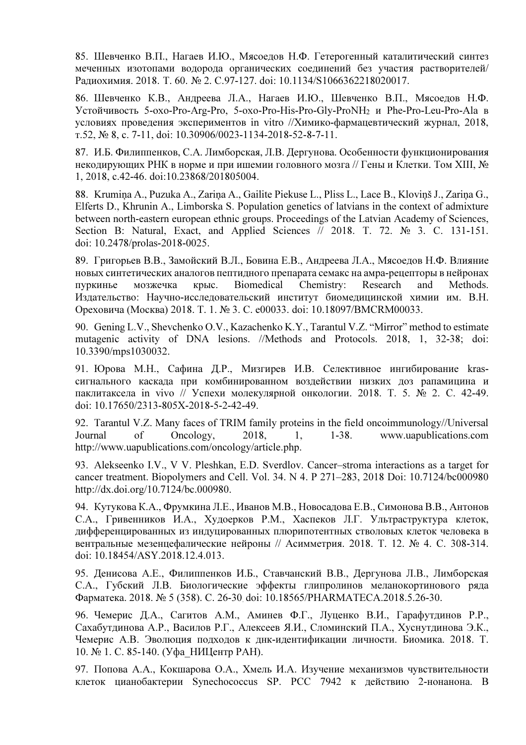85. Шевченко В.П., Нагаев И.Ю., Мясоедов Н.Ф. Гетерогенный каталитический синтез меченных изотопами водорода органических соединений без участия растворителей/ Радиохимия. 2018. Т. 60. № 2. С.97-127. doi: 10.1134/S1066362218020017.

86. Шевченко К.В., Андреева Л.А., Нагаев И.Ю., Шевченко В.П., Мясоедов Н.Ф. Устойчивость 5-oxo-Pro-Arg-Pro, 5-oxo-Pro-His-Pro-Gly-ProNH2 и Phe-Pro-Leu-Pro-Ala в условиях проведения экспериментов in vitro //Химико-фармацевтический журнал, 2018, т.52, № 8, с. 7-11, doi: 10.30906/0023-1134-2018-52-8-7-11.

87. И.Б. Филиппенков, С.А. Лимборская, Л.В. Дергунова. Особенности функционирования некодирующих РНК в норме и при ишемии головного мозга // Гены и Клетки. Том XIII,  $\mathcal{N}_2$ 1, 2018, с.42-46. doi:10.23868/201805004.

88. Krumiņa A., Puzuka A., Zariņa A., Gailite Piekuse L., Pliss L., Lace B., Kloviņš J., Zariņa G., Elferts D., Khrunin A., Limborska S. Population genetics of latvians in the context of admixture between north-eastern european ethnic groups. Proceedings of the Latvian Academy of Sciences, Section B: Natural, Exact, and Applied Sciences // 2018. T. 72. № 3. C. 131-151. doi: 10.2478/prolas-2018-0025.

89. Григорьев В.В., Замойский В.Л., Бовина Е.В., Андреева Л.А., Мясоедов Н.Ф. Влияние новых синтетических аналогов пептидного препарата семакс на амра-рецепторы в нейронах пуркинье мозжечка крыс. Biomedical Chemistry: Research and Methods. Издательство: Научно-исследовательский институт биомедицинской химии им. В.Н. Ореховича (Москва) 2018. Т. 1. № 3. С. e00033. doi: 10.18097/BMCRM00033.

90. Gening L.V., Shevchenko O.V., Kazachenko K.Y., Tarantul V.Z. "Mirror" method to estimate mutagenic activity of DNA lesions. //Methods and Protocols. 2018, 1, 32-38; doi: 10.3390/mps1030032.

91. Юрова М.Н., Сафина Д.Р., Мизгирев И.В. Селективное ингибирование krasсигнального каскада при комбинированном воздействии низких доз рапамицина и паклитаксела in vivo // Успехи молекулярной онкологии. 2018. Т. 5. № 2. С. 42-49. doi: 10.17650/2313-805X-2018-5-2-42-49.

92. Tarantul V.Z. Many faces of TRIM family proteins in the field oncoimmunology//Universal Journal of Oncology, 2018, 1, 1-38. www.uapublications.com http://www.uapublications.com/oncology/article.php.

93. Alekseenko I.V., V V. Pleshkan, E.D. Sverdlov. Cancer–stroma interactions as a target for cancer treatment. Biopolymers and Cell. Vol. 34. N 4. P 271–283, 2018 Doi: 10.7124/bc000980 http://dx.doi.org/10.7124/bc.000980.

94. Кутукова К.А., Фрумкина Л.Е., Иванов М.В., Новосадова Е.В., Симонова В.В., Антонов С.А., Гривенников И.А., Худоерков Р.М., Хаспеков Л.Г. Ультраструктура клеток, дифференцированных из индуцированных плюрипотентных стволовых клеток человека в вентральные мезенцефалические нейроны // Асимметрия. 2018. Т. 12. № 4. С. 308-314. doi: 10.18454/ASY.2018.12.4.013.

95. Денисова А.Е., Филиппенков И.Б., Ставчанский В.В., Дергунова Л.В., Лимборская С.А., Губский Л.В. Биологические эффекты глипролинов меланокортинового ряда Фарматека. 2018. № 5 (358). С. 26-30. doi: 10.18565/PHARMATECA.2018.5.26-30.

96. Чемерис Д.А., Сагитов А.М., Аминев Ф.Г., Луценко В.И., Гарафутдинов Р.Р., Сахабутдинова А.Р., Василов Р.Г., Алексеев Я.И., Сломинский П.А., Хуснутдинова Э.К., Чемерис А.В. Эволюция подходов к днк-идентификации личности. Биомика. 2018. Т. 10. № 1. С. 85-140. (Уфа\_НИЦентр РАН).

97. Попова А.А., Кокшарова О.А., Хмель И.А. Изучение механизмов чувствительности клеток цианобактерии Synechococcus SP. PCC 7942 к действию 2-нонанона. В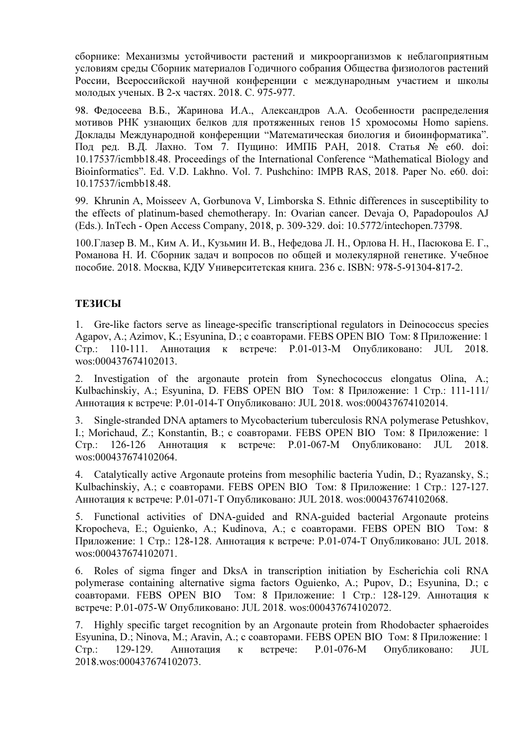сборнике: Механизмы устойчивости растений и микроорганизмов к неблагоприятным условиям среды Сборник материалов Годичного собрания Общества физиологов растений России, Всероссийской научной конференции с международным участием и школы молодых ученых. В 2-х частях. 2018. С. 975-977.

98. Федосеева В.Б., Жаринова И.А., Александров А.А. Особенности распределения мотивов РНК узнающих белков для протяженных генов 15 хромосомы Homo sapiens. Доклады Международной конференции "Математическая биология и биоинформатика". Под ред. В.Д. Лахно. Том 7. Пущино: ИМПБ РАН, 2018. Статья № e60. doi: 10.17537/icmbb18.48. Proceedings of the International Conference "Mathematical Biology and Bioinformatics". Ed. V.D. Lakhno. Vol. 7. Pushchino: IMPB RAS, 2018. Paper No. e60. doi: 10.17537/icmbb18.48.

99. Khrunin A, Moisseev A, Gorbunova V, Limborska S. Ethnic differences in susceptibility to the effects of platinum-based chemotherapy. In: Ovarian cancer. Devaja O, Papadopoulos AJ (Eds.). InTech - Open Access Company, 2018, p. 309-329. doi: 10.5772/intechopen.73798.

100.Глазер В. М., Ким А. И., Кузьмин И. В., Нефедова Л. Н., Орлова Н. Н., Пасюкова Е. Г., Романова Н. И. Сборник задач и вопросов по общей и молекулярной генетике. Учебное пособие. 2018. Москва, КДУ Университетская книга. 236 с. ISBN: 978-5-91304-817-2.

## ТЕЗИСЫ

1. Gre-like factors serve as lineage-specific transcriptional regulators in Deinococcus species Agapov, A.; Azimov, K.; Esyunina, D.; с соавторами. FEBS OPEN BIO Том: 8 Приложение: 1 Стр.: 110-111. Аннотация к встрече: P.01-013-M Опубликовано: JUL 2018. wos:000437674102013.

2. Investigation of the argonaute protein from Synechococcus elongatus Olina, A.; Kulbachinskiy, A.; Esyunina, D. FEBS OPEN BIO Том: 8 Приложение: 1 Стр.: 111-111/ Аннотация к встрече: P.01-014-T Опубликовано: JUL 2018. wos:000437674102014.

3. Single-stranded DNA aptamers to Mycobacterium tuberculosis RNA polymerase Petushkov, I.; Morichaud, Z.; Konstantin, B.; с соавторами. FEBS OPEN BIO Том: 8 Приложение: 1 Стр.: 126-126 Аннотация к встрече: P.01-067-M Опубликовано: JUL 2018. wos:000437674102064.

4. Catalytically active Argonaute proteins from mesophilic bacteria Yudin, D.; Ryazansky, S.; Kulbachinskiy, A.; с соавторами. FEBS OPEN BIO Том: 8 Приложение: 1 Стр.: 127-127. Аннотация к встрече: P.01-071-T Опубликовано: JUL 2018. wos:000437674102068.

5. Functional activities of DNA-guided and RNA-guided bacterial Argonaute proteins Kropocheva, E.; Oguienko, A.; Kudinova, A.; с соавторами. FEBS OPEN BIO Том: 8 Приложение: 1 Стр.: 128-128. Аннотация к встрече: P.01-074-T Опубликовано: JUL 2018. wos:000437674102071.

6. Roles of sigma finger and DksA in transcription initiation by Escherichia coli RNA polymerase containing alternative sigma factors Oguienko, A.; Pupov, D.; Esyunina, D.; с соавторами. FEBS OPEN BIO Том: 8 Приложение: 1 Стр.: 128-129. Аннотация к встрече: P.01-075-W Опубликовано: JUL 2018. wos:000437674102072.

7. Highly specific target recognition by an Argonaute protein from Rhodobacter sphaeroides Esyunina, D.; Ninova, M.; Aravin, A.; с соавторами. FEBS OPEN BIO Том: 8 Приложение: 1 Стр.: 129-129. Аннотация к встрече: P.01-076-M Опубликовано: JUL 2018.wos:000437674102073.